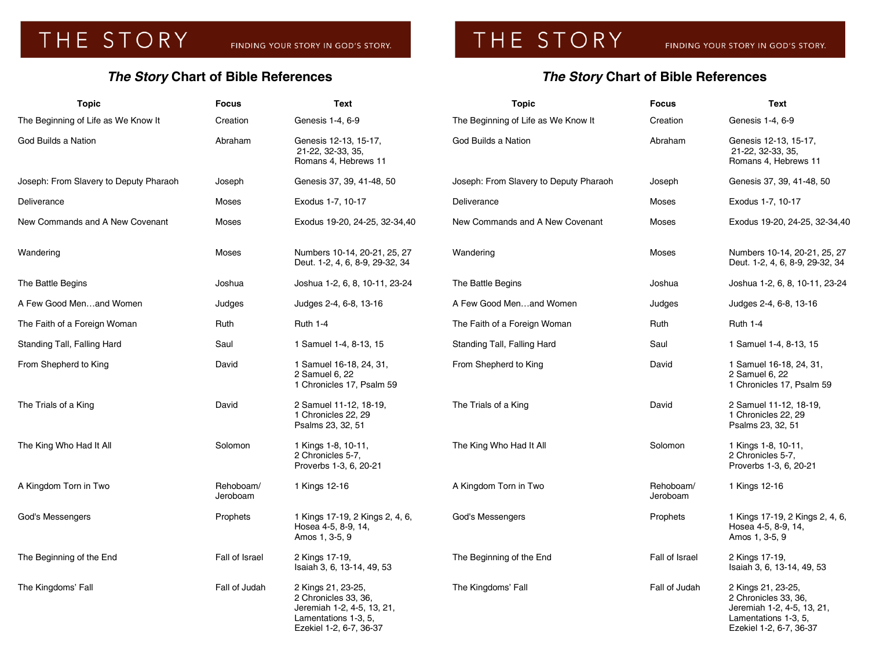## THE STORY

## *The Story* **Chart of Bible References**

## *The Story* **Chart of Bible References**

| <b>Topic</b>                           | <b>Focus</b>          | Text                                                                                                                        | <b>Topic</b>                           | <b>Focus</b>          | Text                                                                                                                        |
|----------------------------------------|-----------------------|-----------------------------------------------------------------------------------------------------------------------------|----------------------------------------|-----------------------|-----------------------------------------------------------------------------------------------------------------------------|
| The Beginning of Life as We Know It    | Creation              | Genesis 1-4, 6-9                                                                                                            | The Beginning of Life as We Know It    | Creation              | Genesis 1-4, 6-9                                                                                                            |
| God Builds a Nation                    | Abraham               | Genesis 12-13, 15-17,<br>21-22, 32-33, 35,<br>Romans 4, Hebrews 11                                                          | God Builds a Nation                    | Abraham               | Genesis 12-13, 15-17,<br>21-22, 32-33, 35,<br>Romans 4, Hebrews 11                                                          |
| Joseph: From Slavery to Deputy Pharaoh | Joseph                | Genesis 37, 39, 41-48, 50                                                                                                   | Joseph: From Slavery to Deputy Pharaoh | Joseph                | Genesis 37, 39, 41-48, 50                                                                                                   |
| Deliverance                            | Moses                 | Exodus 1-7, 10-17                                                                                                           | Deliverance                            | Moses                 | Exodus 1-7, 10-17                                                                                                           |
| New Commands and A New Covenant        | Moses                 | Exodus 19-20, 24-25, 32-34,40                                                                                               | New Commands and A New Covenant        | Moses                 | Exodus 19-20, 24-25, 32-34,40                                                                                               |
| Wandering                              | Moses                 | Numbers 10-14, 20-21, 25, 27<br>Deut. 1-2, 4, 6, 8-9, 29-32, 34                                                             | Wandering                              | Moses                 | Numbers 10-14, 20-21, 25, 27<br>Deut. 1-2, 4, 6, 8-9, 29-32, 34                                                             |
| The Battle Begins                      | Joshua                | Joshua 1-2, 6, 8, 10-11, 23-24                                                                                              | The Battle Begins                      | Joshua                | Joshua 1-2, 6, 8, 10-11, 23-24                                                                                              |
| A Few Good Menand Women                | Judges                | Judges 2-4, 6-8, 13-16                                                                                                      | A Few Good Menand Women                | Judges                | Judges 2-4, 6-8, 13-16                                                                                                      |
| The Faith of a Foreign Woman           | Ruth                  | <b>Ruth 1-4</b>                                                                                                             | The Faith of a Foreign Woman           | Ruth                  | <b>Ruth 1-4</b>                                                                                                             |
| Standing Tall, Falling Hard            | Saul                  | 1 Samuel 1-4, 8-13, 15                                                                                                      | Standing Tall, Falling Hard            | Saul                  | 1 Samuel 1-4, 8-13, 15                                                                                                      |
| From Shepherd to King                  | David                 | 1 Samuel 16-18, 24, 31,<br>2 Samuel 6, 22<br>1 Chronicles 17, Psalm 59                                                      | From Shepherd to King                  | David                 | 1 Samuel 16-18, 24, 31,<br>2 Samuel 6, 22<br>1 Chronicles 17, Psalm 59                                                      |
| The Trials of a King                   | David                 | 2 Samuel 11-12, 18-19,<br>1 Chronicles 22, 29<br>Psalms 23, 32, 51                                                          | The Trials of a King                   | David                 | 2 Samuel 11-12, 18-19,<br>1 Chronicles 22, 29<br>Psalms 23, 32, 51                                                          |
| The King Who Had It All                | Solomon               | 1 Kings 1-8, 10-11,<br>2 Chronicles 5-7,<br>Proverbs 1-3, 6, 20-21                                                          | The King Who Had It All                | Solomon               | 1 Kings 1-8, 10-11,<br>2 Chronicles 5-7,<br>Proverbs 1-3, 6, 20-21                                                          |
| A Kingdom Torn in Two                  | Rehoboam/<br>Jeroboam | 1 Kings 12-16                                                                                                               | A Kingdom Torn in Two                  | Rehoboam/<br>Jeroboam | 1 Kings 12-16                                                                                                               |
| God's Messengers                       | Prophets              | 1 Kings 17-19, 2 Kings 2, 4, 6,<br>Hosea 4-5, 8-9, 14,<br>Amos 1, 3-5, 9                                                    | God's Messengers                       | Prophets              | 1 Kings 17-19, 2 Kings 2, 4, 6,<br>Hosea 4-5, 8-9, 14,<br>Amos 1, 3-5, 9                                                    |
| The Beginning of the End               | Fall of Israel        | 2 Kings 17-19,<br>Isaiah 3, 6, 13-14, 49, 53                                                                                | The Beginning of the End               | Fall of Israel        | 2 Kings 17-19,<br>Isaiah 3, 6, 13-14, 49, 53                                                                                |
| The Kingdoms' Fall                     | Fall of Judah         | 2 Kings 21, 23-25,<br>2 Chronicles 33, 36,<br>Jeremiah 1-2, 4-5, 13, 21,<br>Lamentations 1-3, 5,<br>Ezekiel 1-2, 6-7, 36-37 | The Kingdoms' Fall                     | Fall of Judah         | 2 Kings 21, 23-25,<br>2 Chronicles 33, 36,<br>Jeremiah 1-2, 4-5, 13, 21,<br>Lamentations 1-3, 5,<br>Ezekiel 1-2, 6-7, 36-37 |